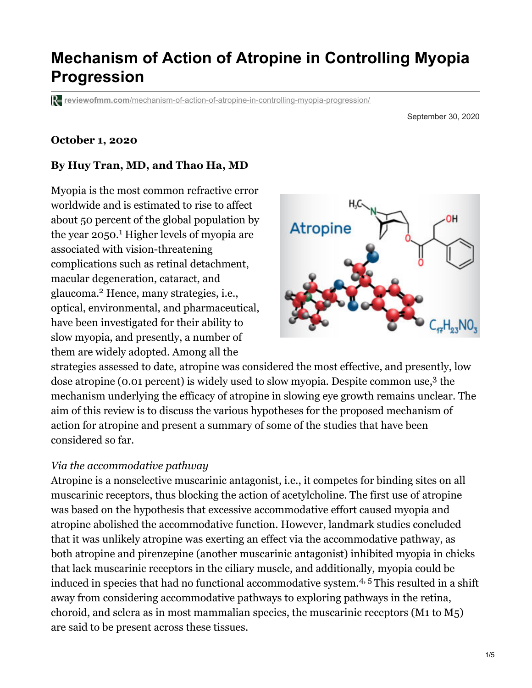# **Mechanism of Action of Atropine in Controlling Myopia Progression**

**reviewofmm.com**[/mechanism-of-action-of-atropine-in-controlling-myopia-progression/](http://reviewofmm.com/mechanism-of-action-of-atropine-in-controlling-myopia-progression/)

September 30, 2020

#### **October 1, 2020**

#### **By Huy Tran, MD, and Thao Ha, MD**

Myopia is the most common refractive error worldwide and is estimated to rise to affect about 50 percent of the global population by the year 2050.<sup>1</sup> Higher levels of myopia are associated with vision-threatening complications such as retinal detachment, macular degeneration, cataract, and glaucoma.<sup>2</sup> Hence, many strategies, i.e., optical, environmental, and pharmaceutical, have been investigated for their ability to slow myopia, and presently, a number of them are widely adopted. Among all the



strategies assessed to date, atropine was considered the most effective, and presently, low dose atropine ( $o.o.$  percent) is widely used to slow myopia. Despite common use, $3$  the mechanism underlying the efficacy of atropine in slowing eye growth remains unclear. The aim of this review is to discuss the various hypotheses for the proposed mechanism of action for atropine and present a summary of some of the studies that have been considered so far.

#### *Via the accommodative pathway*

Atropine is a nonselective muscarinic antagonist, i.e., it competes for binding sites on all muscarinic receptors, thus blocking the action of acetylcholine. The first use of atropine was based on the hypothesis that excessive accommodative effort caused myopia and atropine abolished the accommodative function. However, landmark studies concluded that it was unlikely atropine was exerting an effect via the accommodative pathway, as both atropine and pirenzepine (another muscarinic antagonist) inhibited myopia in chicks that lack muscarinic receptors in the ciliary muscle, and additionally, myopia could be induced in species that had no functional accommodative system.<sup>4, 5</sup> This resulted in a shift away from considering accommodative pathways to exploring pathways in the retina, choroid, and sclera as in most mammalian species, the muscarinic receptors (M1 to M5) are said to be present across these tissues.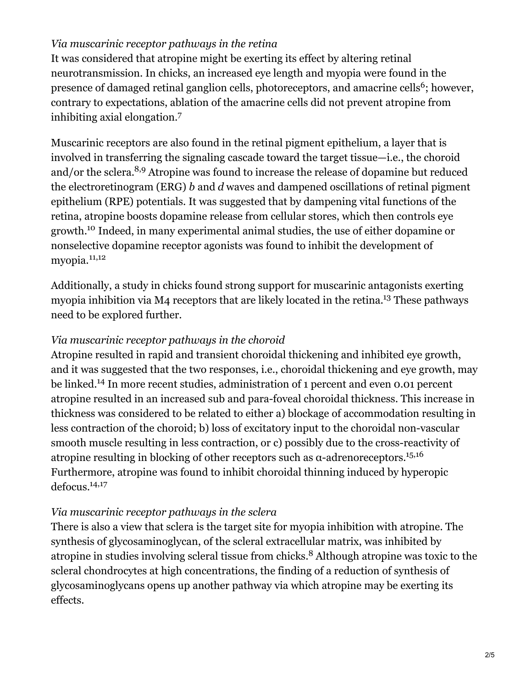### *Via muscarinic receptor pathways in the retina*

It was considered that atropine might be exerting its effect by altering retinal neurotransmission. In chicks, an increased eye length and myopia were found in the presence of damaged retinal ganglion cells, photoreceptors, and amacrine cells<sup>6</sup>; however, contrary to expectations, ablation of the amacrine cells did not prevent atropine from inhibiting axial elongation. 7

Muscarinic receptors are also found in the retinal pigment epithelium, a layer that is involved in transferring the signaling cascade toward the target tissue—i.e., the choroid and/or the sclera.<sup>8,9</sup> Atropine was found to increase the release of dopamine but reduced the electroretinogram (ERG) *b* and *d* waves and dampened oscillations of retinal pigment epithelium (RPE) potentials. It was suggested that by dampening vital functions of the retina, atropine boosts dopamine release from cellular stores, which then controls eye growth.<sup>10</sup> Indeed, in many experimental animal studies, the use of either dopamine or nonselective dopamine receptor agonists was found to inhibit the development of myopia. 11,12

Additionally, a study in chicks found strong support for muscarinic antagonists exerting myopia inhibition via M4 receptors that are likely located in the retina.<sup>13</sup> These pathways need to be explored further.

#### *Via muscarinic receptor pathways in the choroid*

Atropine resulted in rapid and transient choroidal thickening and inhibited eye growth, and it was suggested that the two responses, i.e., choroidal thickening and eye growth, may be linked.<sup>14</sup> In more recent studies, administration of 1 percent and even 0.01 percent atropine resulted in an increased sub and para-foveal choroidal thickness. This increase in thickness was considered to be related to either a) blockage of accommodation resulting in less contraction of the choroid; b) loss of excitatory input to the choroidal non-vascular smooth muscle resulting in less contraction, or c) possibly due to the cross-reactivity of atropine resulting in blocking of other receptors such as  $\alpha$ -adrenoreceptors.<sup>15,16</sup> Furthermore, atropine was found to inhibit choroidal thinning induced by hyperopic defocus. 14,17

#### *Via muscarinic receptor pathways in the sclera*

There is also a view that sclera is the target site for myopia inhibition with atropine. The synthesis of glycosaminoglycan, of the scleral extracellular matrix, was inhibited by atropine in studies involving scleral tissue from chicks.<sup>8</sup> Although atropine was toxic to the scleral chondrocytes at high concentrations, the finding of a reduction of synthesis of glycosaminoglycans opens up another pathway via which atropine may be exerting its effects.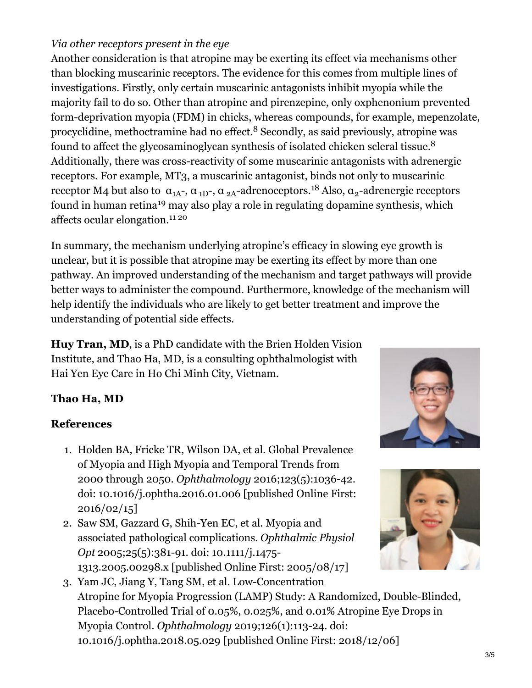# *Via other receptors present in the eye*

Another consideration is that atropine may be exerting its effect via mechanisms other than blocking muscarinic receptors. The evidence for this comes from multiple lines of investigations. Firstly, only certain muscarinic antagonists inhibit myopia while the majority fail to do so. Other than atropine and pirenzepine, only oxphenonium prevented form-deprivation myopia (FDM) in chicks, whereas compounds, for example, mepenzolate, procyclidine, methoctramine had no effect.<sup>8</sup> Secondly, as said previously, atropine was found to affect the glycosaminoglycan synthesis of isolated chicken scleral tissue.<sup>8</sup> Additionally, there was cross-reactivity of some muscarinic antagonists with adrenergic receptors. For example, MT3, a muscarinic antagonist, binds not only to muscarinic receptor M4 but also to α<sub>1A</sub>-, α <sub>1D</sub>-, α <sub>2A</sub>-adrenoceptors.<sup>18</sup> Also, α<sub>2</sub>-adrenergic receptors found in human retina<sup>19</sup> may also play a role in regulating dopamine synthesis, which affects ocular elongation. 11 20

In summary, the mechanism underlying atropine's efficacy in slowing eye growth is unclear, but it is possible that atropine may be exerting its effect by more than one pathway. An improved understanding of the mechanism and target pathways will provide better ways to administer the compound. Furthermore, knowledge of the mechanism will help identify the individuals who are likely to get better treatment and improve the understanding of potential side effects.

**Huy Tran, MD**, is a PhD candidate with the Brien Holden Vision Institute, and Thao Ha, MD, is a consulting ophthalmologist with Hai Yen Eye Care in Ho Chi Minh City, Vietnam.

# **Thao Ha, MD**

# **References**

- 1. Holden BA, Fricke TR, Wilson DA, et al. Global Prevalence of Myopia and High Myopia and Temporal Trends from 2000 through 2050. *Ophthalmology* 2016;123(5):1036-42. doi: 10.1016/j.ophtha.2016.01.006 [published Online First:  $2016/02/15$
- 2. Saw SM, Gazzard G, Shih-Yen EC, et al. Myopia and associated pathological complications. *Ophthalmic Physiol Opt* 2005;25(5):381-91. doi: 10.1111/j.1475- 1313.2005.00298.x [published Online First: 2005/08/17]
- 3. Yam JC, Jiang Y, Tang SM, et al. Low-Concentration Atropine for Myopia Progression (LAMP) Study: A Randomized, Double-Blinded, Placebo-Controlled Trial of 0.05%, 0.025%, and 0.01% Atropine Eye Drops in Myopia Control. *Ophthalmology* 2019;126(1):113-24. doi: 10.1016/j.ophtha.2018.05.029 [published Online First: 2018/12/06]



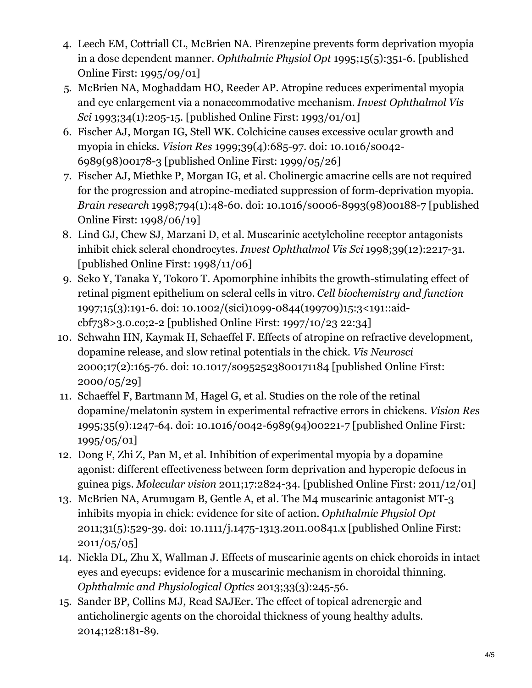- 4. Leech EM, Cottriall CL, McBrien NA. Pirenzepine prevents form deprivation myopia in a dose dependent manner. *Ophthalmic Physiol Opt* 1995;15(5):351-6. [published Online First: 1995/09/01]
- 5. McBrien NA, Moghaddam HO, Reeder AP. Atropine reduces experimental myopia and eye enlargement via a nonaccommodative mechanism. *Invest Ophthalmol Vis Sci* 1993;34(1):205-15. [published Online First: 1993/01/01]
- 6. Fischer AJ, Morgan IG, Stell WK. Colchicine causes excessive ocular growth and myopia in chicks. *Vision Res* 1999;39(4):685-97. doi: 10.1016/s0042- 6989(98)00178-3 [published Online First: 1999/05/26]
- 7. Fischer AJ, Miethke P, Morgan IG, et al. Cholinergic amacrine cells are not required for the progression and atropine-mediated suppression of form-deprivation myopia. *Brain research* 1998;794(1):48-60. doi: 10.1016/s0006-8993(98)00188-7 [published Online First: 1998/06/19]
- 8. Lind GJ, Chew SJ, Marzani D, et al. Muscarinic acetylcholine receptor antagonists inhibit chick scleral chondrocytes. *Invest Ophthalmol Vis Sci* 1998;39(12):2217-31. [published Online First: 1998/11/06]
- 9. Seko Y, Tanaka Y, Tokoro T. Apomorphine inhibits the growth-stimulating effect of retinal pigment epithelium on scleral cells in vitro. *Cell biochemistry and function* 1997;15(3):191-6. doi: 10.1002/(sici)1099-0844(199709)15:3<191::aidcbf738>3.0.co;2-2 [published Online First: 1997/10/23 22:34]
- 10. Schwahn HN, Kaymak H, Schaeffel F. Effects of atropine on refractive development, dopamine release, and slow retinal potentials in the chick. *Vis Neurosci* 2000;17(2):165-76. doi: 10.1017/s0952523800171184 [published Online First: 2000/05/29]
- 11. Schaeffel F, Bartmann M, Hagel G, et al. Studies on the role of the retinal dopamine/melatonin system in experimental refractive errors in chickens. *Vision Res* 1995;35(9):1247-64. doi: 10.1016/0042-6989(94)00221-7 [published Online First: 1995/05/01]
- 12. Dong F, Zhi Z, Pan M, et al. Inhibition of experimental myopia by a dopamine agonist: different effectiveness between form deprivation and hyperopic defocus in guinea pigs. *Molecular vision* 2011;17:2824-34. [published Online First: 2011/12/01]
- 13. McBrien NA, Arumugam B, Gentle A, et al. The M4 muscarinic antagonist MT-3 inhibits myopia in chick: evidence for site of action. *Ophthalmic Physiol Opt* 2011;31(5):529-39. doi: 10.1111/j.1475-1313.2011.00841.x [published Online First: 2011/05/05]
- 14. Nickla DL, Zhu X, Wallman J. Effects of muscarinic agents on chick choroids in intact eyes and eyecups: evidence for a muscarinic mechanism in choroidal thinning. *Ophthalmic and Physiological Optics* 2013;33(3):245-56.
- 15. Sander BP, Collins MJ, Read SAJEer. The effect of topical adrenergic and anticholinergic agents on the choroidal thickness of young healthy adults. 2014;128:181-89.